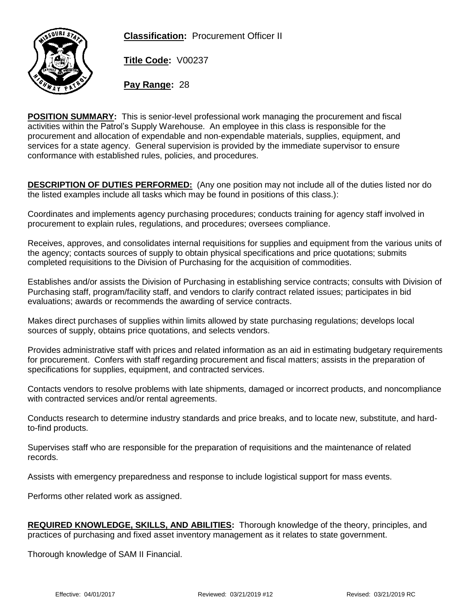**Classification:** Procurement Officer II



**Title Code:** V00237

**Pay Range:** 28

**POSITION SUMMARY:** This is senior-level professional work managing the procurement and fiscal activities within the Patrol's Supply Warehouse. An employee in this class is responsible for the procurement and allocation of expendable and non-expendable materials, supplies, equipment, and services for a state agency. General supervision is provided by the immediate supervisor to ensure conformance with established rules, policies, and procedures.

**DESCRIPTION OF DUTIES PERFORMED:** (Any one position may not include all of the duties listed nor do the listed examples include all tasks which may be found in positions of this class.):

Coordinates and implements agency purchasing procedures; conducts training for agency staff involved in procurement to explain rules, regulations, and procedures; oversees compliance.

Receives, approves, and consolidates internal requisitions for supplies and equipment from the various units of the agency; contacts sources of supply to obtain physical specifications and price quotations; submits completed requisitions to the Division of Purchasing for the acquisition of commodities.

Establishes and/or assists the Division of Purchasing in establishing service contracts; consults with Division of Purchasing staff, program/facility staff, and vendors to clarify contract related issues; participates in bid evaluations; awards or recommends the awarding of service contracts.

Makes direct purchases of supplies within limits allowed by state purchasing regulations; develops local sources of supply, obtains price quotations, and selects vendors.

Provides administrative staff with prices and related information as an aid in estimating budgetary requirements for procurement. Confers with staff regarding procurement and fiscal matters; assists in the preparation of specifications for supplies, equipment, and contracted services.

Contacts vendors to resolve problems with late shipments, damaged or incorrect products, and noncompliance with contracted services and/or rental agreements.

Conducts research to determine industry standards and price breaks, and to locate new, substitute, and hardto-find products.

Supervises staff who are responsible for the preparation of requisitions and the maintenance of related records.

Assists with emergency preparedness and response to include logistical support for mass events.

Performs other related work as assigned.

| <b>REQUIRED KNOWLEDGE, SKILLS, AND ABILITIES:</b> Thorough knowledge of the theory, principles, and |  |
|-----------------------------------------------------------------------------------------------------|--|
| practices of purchasing and fixed asset inventory management as it relates to state government.     |  |

Thorough knowledge of SAM II Financial.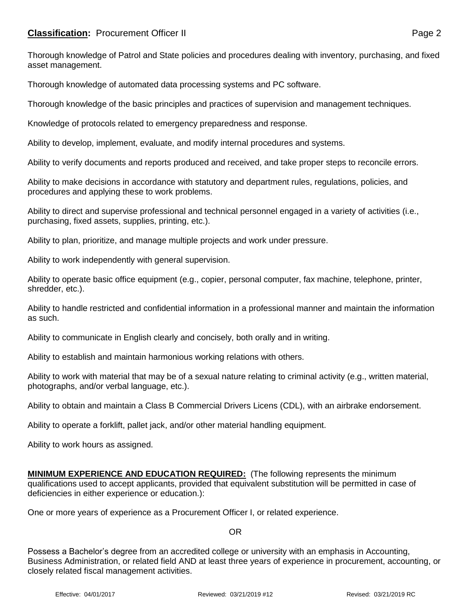## **Classification:** Procurement Officer II **Page 2** Page 2

Thorough knowledge of automated data processing systems and PC software.

Thorough knowledge of the basic principles and practices of supervision and management techniques.

Knowledge of protocols related to emergency preparedness and response.

Ability to develop, implement, evaluate, and modify internal procedures and systems.

Ability to verify documents and reports produced and received, and take proper steps to reconcile errors.

Ability to make decisions in accordance with statutory and department rules, regulations, policies, and procedures and applying these to work problems.

Ability to direct and supervise professional and technical personnel engaged in a variety of activities (i.e., purchasing, fixed assets, supplies, printing, etc.).

Ability to plan, prioritize, and manage multiple projects and work under pressure.

Ability to work independently with general supervision.

Ability to operate basic office equipment (e.g., copier, personal computer, fax machine, telephone, printer, shredder, etc.).

Ability to handle restricted and confidential information in a professional manner and maintain the information as such.

Ability to communicate in English clearly and concisely, both orally and in writing.

Ability to establish and maintain harmonious working relations with others.

Ability to work with material that may be of a sexual nature relating to criminal activity (e.g., written material, photographs, and/or verbal language, etc.).

Ability to obtain and maintain a Class B Commercial Drivers Licens (CDL), with an airbrake endorsement.

Ability to operate a forklift, pallet jack, and/or other material handling equipment.

Ability to work hours as assigned.

**MINIMUM EXPERIENCE AND EDUCATION REQUIRED:** (The following represents the minimum qualifications used to accept applicants, provided that equivalent substitution will be permitted in case of deficiencies in either experience or education.):

One or more years of experience as a Procurement Officer I, or related experience.

OR

Possess a Bachelor's degree from an accredited college or university with an emphasis in Accounting, Business Administration, or related field AND at least three years of experience in procurement, accounting, or closely related fiscal management activities.